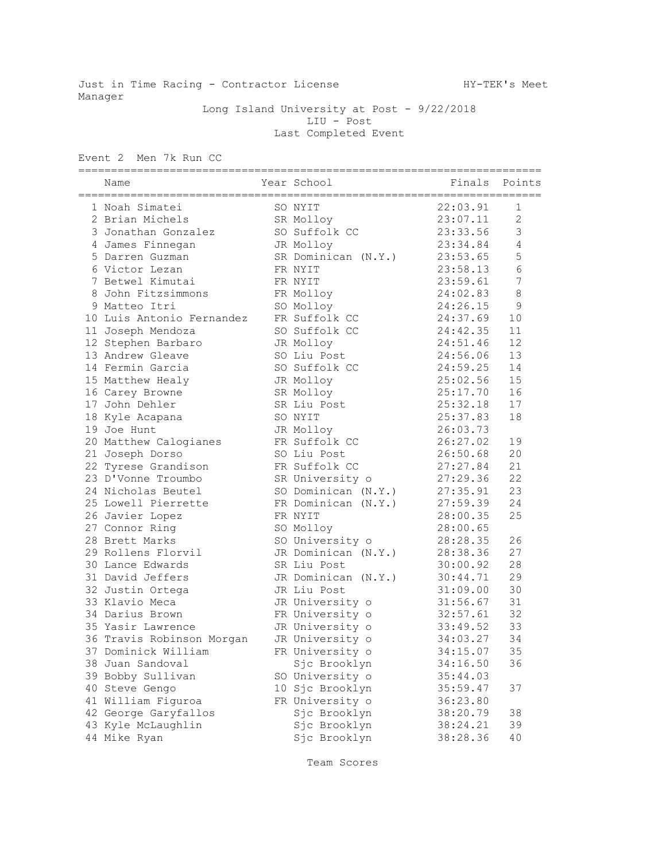Just in Time Racing - Contractor License Manuel HY-TEK's Meet Manager

 Long Island University at Post - 9/22/2018 LIU - Post Last Completed Event

Event 2 Men 7k Run CC

| Name                      |  | Year School         | Finals Points |                |  |  |
|---------------------------|--|---------------------|---------------|----------------|--|--|
| 1 Noah Simatei            |  | SO NYIT             | 22:03.91      | 1              |  |  |
| 2 Brian Michels           |  | SR Molloy           | 23:07.11      | $\overline{c}$ |  |  |
| 3 Jonathan Gonzalez       |  | SO Suffolk CC       | 23:33.56      | $\mathfrak{Z}$ |  |  |
| 4 James Finnegan          |  | JR Molloy           | 23:34.84      | $\sqrt{4}$     |  |  |
| 5 Darren Guzman           |  | SR Dominican (N.Y.) | 23:53.65      | $\mathsf S$    |  |  |
| 6 Victor Lezan            |  | FR NYIT             | 23:58.13      | $6\,$          |  |  |
| 7 Betwel Kimutai          |  | FR NYIT             | 23:59.61      | $\overline{7}$ |  |  |
| 8 John Fitzsimmons        |  | FR Molloy           | 24:02.83      | $\,8\,$        |  |  |
| 9 Matteo Itri             |  | SO Molloy           | 24:26.15      | 9              |  |  |
| 10 Luis Antonio Fernandez |  | FR Suffolk CC       | 24:37.69      | 10             |  |  |
| 11 Joseph Mendoza         |  | SO Suffolk CC       | 24:42.35      | 11             |  |  |
| 12 Stephen Barbaro        |  | JR Molloy           | 24:51.46      | 12             |  |  |
| 13 Andrew Gleave          |  | SO Liu Post         | 24:56.06      | 13             |  |  |
| 14 Fermin Garcia          |  | SO Suffolk CC       | 24:59.25      | 14             |  |  |
| 15 Matthew Healy          |  | JR Molloy           | 25:02.56      | 15             |  |  |
| 16 Carey Browne           |  | SR Molloy           | 25:17.70      | 16             |  |  |
| 17 John Dehler            |  | SR Liu Post         | 25:32.18      | 17             |  |  |
| 18 Kyle Acapana           |  | SO NYIT             | 25:37.83      | 18             |  |  |
| 19 Joe Hunt               |  | JR Molloy           | 26:03.73      |                |  |  |
| 20 Matthew Calogianes     |  | FR Suffolk CC       | 26:27.02      | 19             |  |  |
| 21 Joseph Dorso           |  | SO Liu Post         | 26:50.68      | 20             |  |  |
| 22 Tyrese Grandison       |  | FR Suffolk CC       | 27:27.84      | 21             |  |  |
| 23 D'Vonne Troumbo        |  | SR University o     | 27:29.36      | 22             |  |  |
| 24 Nicholas Beutel        |  | SO Dominican (N.Y.) | 27:35.91      | 23             |  |  |
| 25 Lowell Pierrette       |  | FR Dominican (N.Y.) | 27:59.39      | 24             |  |  |
| 26 Javier Lopez           |  | FR NYIT             | 28:00.35      | 25             |  |  |
| 27 Connor Ring            |  | SO Molloy           | 28:00.65      |                |  |  |
| 28 Brett Marks            |  | SO University o     | 28:28.35      | 26             |  |  |
| 29 Rollens Florvil        |  | JR Dominican (N.Y.) | 28:38.36      | 27             |  |  |
| 30 Lance Edwards          |  | SR Liu Post         | 30:00.92      | 28             |  |  |
| 31 David Jeffers          |  | JR Dominican (N.Y.) | 30:44.71      | 29             |  |  |
| 32 Justin Ortega          |  | JR Liu Post         | 31:09.00      | 30             |  |  |
| 33 Klavio Meca            |  | JR University o     | 31:56.67      | 31             |  |  |
| 34 Darius Brown           |  | FR University o     | 32:57.61      | 32             |  |  |
| 35 Yasir Lawrence         |  | JR University o     | 33:49.52      | 33             |  |  |
| 36 Travis Robinson Morgan |  | JR University o     | 34:03.27      | 34             |  |  |
| 37 Dominick William       |  | FR University o     | 34:15.07      | 35             |  |  |
| 38 Juan Sandoval          |  | Sjc Brooklyn        | 34:16.50      | 36             |  |  |
| 39 Bobby Sullivan         |  | SO University o     | 35:44.03      |                |  |  |
| 40 Steve Gengo            |  | 10 Sjc Brooklyn     | 35:59.47      | 37             |  |  |
| 41 William Figuroa        |  | FR University o     | 36:23.80      |                |  |  |
| 42 George Garyfallos      |  | Sjc Brooklyn        | 38:20.79      | 38             |  |  |
| 43 Kyle McLaughlin        |  | Sjc Brooklyn        | 38:24.21      | 39             |  |  |
| 44 Mike Ryan              |  | Sjc Brooklyn        | 38:28.36      | 40             |  |  |

Team Scores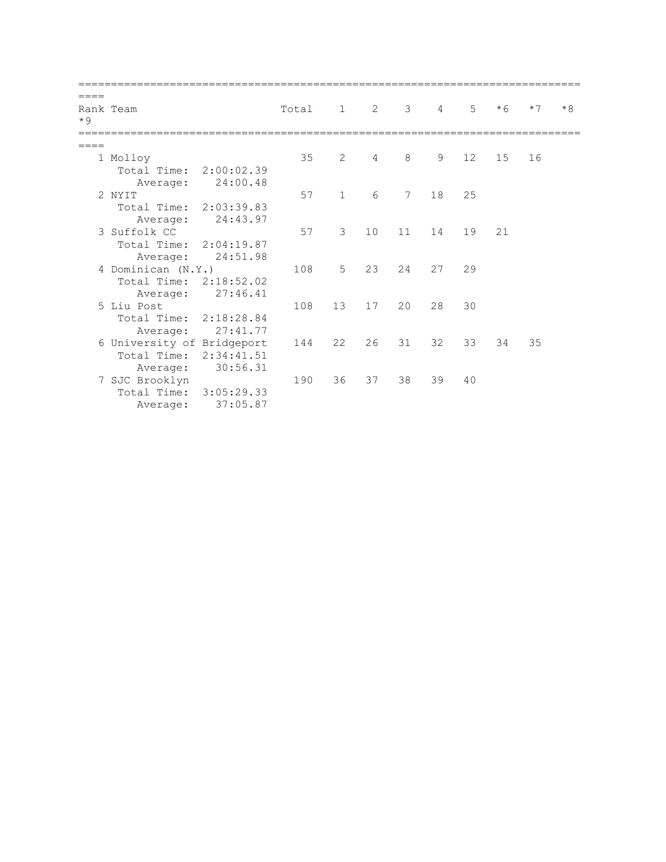| $*9$ | Rank Team                  | Total 1 2 3 |                 |    |                 | $\overline{4}$ | $5 -$ | $*6$ | $*7$ | $*8$ |
|------|----------------------------|-------------|-----------------|----|-----------------|----------------|-------|------|------|------|
|      |                            |             |                 |    |                 |                |       |      |      |      |
|      | 1 Molloy                   | 35          | 2               | 4  | 8               | 9              | 12    | 15   | 16   |      |
|      | Total Time: 2:00:02.39     |             |                 |    |                 |                |       |      |      |      |
|      | Average: 24:00.48          |             |                 |    |                 |                |       |      |      |      |
|      | 2 NYIT                     | 57          | $\mathbf{1}$    | 6  | $7\phantom{.0}$ | 18             | 25    |      |      |      |
|      | Total Time: 2:03:39.83     |             |                 |    |                 |                |       |      |      |      |
|      | 24:43.97<br>Average:       |             |                 |    |                 |                |       |      |      |      |
|      | 3 Suffolk CC               | 57          | $\mathcal{E}$   | 10 | 11              | 14             | 19    | 21   |      |      |
|      | Total Time:<br>2:04:19.87  |             |                 |    |                 |                |       |      |      |      |
|      | 24:51.98<br>Average:       |             |                 |    |                 |                |       |      |      |      |
|      | 4 Dominican (N.Y.)         | 108         | 5               | 23 | 24              | 27             | 29    |      |      |      |
|      | Total Time: 2:18:52.02     |             |                 |    |                 |                |       |      |      |      |
|      | 27:46.41<br>Average:       |             |                 |    |                 |                |       |      |      |      |
|      | 5 Liu Post                 | 108         | 13 <sup>°</sup> | 17 | 20              | 28             | 30    |      |      |      |
|      | Total Time: 2:18:28.84     |             |                 |    |                 |                |       |      |      |      |
|      | Average: 27:41.77          |             |                 |    |                 |                |       |      |      |      |
|      | 6 University of Bridgeport | 144         | 22              | 26 | 31              | 32             | 33    | 34   | 35   |      |
|      | Total Time: 2:34:41.51     |             |                 |    |                 |                |       |      |      |      |
|      | 30:56.31<br>Average:       |             |                 |    |                 |                |       |      |      |      |
|      | 7 SJC Brooklyn             | 190         | 36              | 37 | 38              | 39             | 40    |      |      |      |
|      | 3:05:29.33<br>Total Time:  |             |                 |    |                 |                |       |      |      |      |
|      | 37:05.87<br>Average:       |             |                 |    |                 |                |       |      |      |      |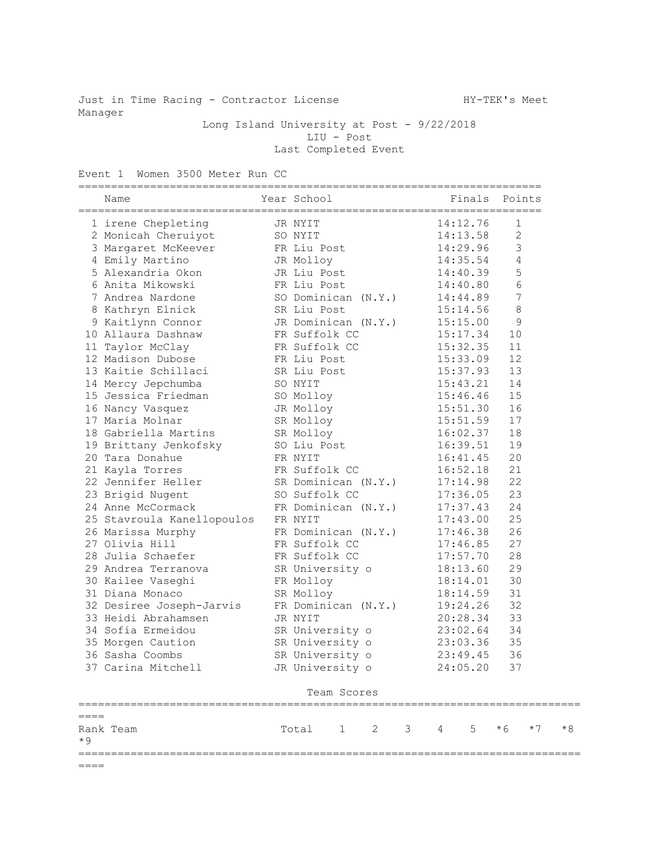Just in Time Racing - Contractor License MY-TEK's Meet Manager

Long Island University at Post - 9/22/2018 LIU - Post Last Completed Event

Event 1 Women 3500 Meter Run CC

|        | Name                                                                                                                                                                                                                                               |           |             | Year School Finals Points                            |                                  |          |                  |      |
|--------|----------------------------------------------------------------------------------------------------------------------------------------------------------------------------------------------------------------------------------------------------|-----------|-------------|------------------------------------------------------|----------------------------------|----------|------------------|------|
|        | 1 irene Chepleting TR NYIT                                                                                                                                                                                                                         |           |             |                                                      |                                  | 14:12.76 | 1                |      |
|        | 2 Monicah Cheruiyot SO NYIT                                                                                                                                                                                                                        |           |             |                                                      | 14:13.58                         |          | $\mathbf{2}$     |      |
|        | 3 Margaret McKeever FR Liu Post 14:29.96                                                                                                                                                                                                           |           |             |                                                      |                                  |          | $\mathcal{S}$    |      |
|        |                                                                                                                                                                                                                                                    |           |             |                                                      |                                  |          | $\sqrt{4}$       |      |
|        |                                                                                                                                                                                                                                                    |           |             |                                                      |                                  |          | 5                |      |
|        |                                                                                                                                                                                                                                                    |           |             |                                                      |                                  |          | $\sqrt{6}$       |      |
|        | 4 Emily Martino JR Molloy 14:35.54<br>5 Alexandria Okon JR Liu Post 14:40.39<br>6 Anita Mikowski FR Liu Post 14:40.39<br>7 Andrea Nardone SO Dominican (N.Y.) 14:44.89<br>8 Kathryn Elnick SR Liu Post 15:14.56                                    |           |             |                                                      |                                  |          | $\boldsymbol{7}$ |      |
|        |                                                                                                                                                                                                                                                    |           |             |                                                      |                                  |          | 8                |      |
|        | 9 Kaitlynn Connor JR Dominican (N.Y.) 15:15.00                                                                                                                                                                                                     |           |             |                                                      |                                  |          | 9                |      |
|        | 10 Allaura Dashnaw FR Suffolk CC                                                                                                                                                                                                                   |           |             |                                                      | 15:17.34                         |          | 10               |      |
|        | 11 Taylor McClay<br>FR Suffolk CC 15:32.35                                                                                                                                                                                                         |           |             |                                                      |                                  |          | 11               |      |
|        | 12 Madison Dubose FR Liu Post 15:33.09                                                                                                                                                                                                             |           |             |                                                      |                                  |          | 12               |      |
|        |                                                                                                                                                                                                                                                    |           |             |                                                      | 15:37.93                         |          | 13               |      |
|        |                                                                                                                                                                                                                                                    |           |             |                                                      |                                  |          | 14               |      |
|        |                                                                                                                                                                                                                                                    |           |             |                                                      | 15:43.21<br>15:46.46<br>15:51.30 |          | 15               |      |
|        |                                                                                                                                                                                                                                                    |           |             |                                                      |                                  |          | 16               |      |
|        | 17 Maria Molnar                                                                                                                                                                                                                                    |           |             |                                                      | 15:51.59                         |          | 17               |      |
|        | 18 Gabriella Martins SR Molloy                                                                                                                                                                                                                     |           |             |                                                      | 16:02.37                         |          | 18               |      |
|        | 19 Brittany Jenkofsky SO Liu Post                                                                                                                                                                                                                  |           |             |                                                      | 16:39.51                         |          | 19               |      |
|        | 20 Tara Donahue<br>FR NYIT                                                                                                                                                                                                                         |           |             |                                                      | 16:41.45                         |          | 20               |      |
|        |                                                                                                                                                                                                                                                    |           |             |                                                      |                                  |          | 21               |      |
|        | 21 Kayla Torres<br>22 Jennifer Heller<br>23 Brigid Nugent<br>23 Brigid Nugent<br>24 Anne McCormack<br>25 Stavroula Kanellopoulos<br>25 Stavroula Kanellopoulos<br>25 Stavroula Kanellopoulos<br>27 NYIT<br>27 28 Stavroula Kanellopoulos<br>27 NYI |           |             |                                                      |                                  |          | 22               |      |
|        |                                                                                                                                                                                                                                                    |           |             |                                                      |                                  |          | 23               |      |
|        |                                                                                                                                                                                                                                                    |           |             |                                                      |                                  |          | 24               |      |
|        |                                                                                                                                                                                                                                                    |           |             |                                                      |                                  |          | 25               |      |
|        | 26 Marissa Murphy TR Dominican (N.Y.) 17:46.38                                                                                                                                                                                                     |           |             |                                                      |                                  |          | 26               |      |
|        | 27 Olivia Hill                                                                                                                                                                                                                                     |           |             | FR Suffolk CC                                        |                                  | 17:46.85 | 27               |      |
|        | 28 Julia Schaefer FR Suffolk CC                                                                                                                                                                                                                    |           |             |                                                      |                                  | 17:57.70 | 28               |      |
|        | 29 Andrea Terranova SR University o                                                                                                                                                                                                                |           |             |                                                      |                                  | 18:13.60 | 29               |      |
|        | 30 Kailee Vaseghi KR Molloy                                                                                                                                                                                                                        |           |             |                                                      |                                  | 18:14.01 | 30               |      |
|        | 31 Diana Monaco                                                                                                                                                                                                                                    | SR Molloy |             |                                                      |                                  | 18:14.59 | 31               |      |
|        | 32 Desiree Joseph-Jarvis FR Dominican (N.Y.)                                                                                                                                                                                                       |           |             |                                                      |                                  | 19:24.26 | 32               |      |
|        | 33 Heidi Abrahamsen                                                                                                                                                                                                                                | JR NYIT   |             |                                                      |                                  | 20:28.34 | 33               |      |
|        | 34 Sofia Ermeidou                                                                                                                                                                                                                                  |           |             |                                                      |                                  |          | 34               |      |
|        | 35 Morgen Caution                                                                                                                                                                                                                                  |           |             | SR University o 23:02.64<br>SR University o 23:03.36 |                                  |          | 35               |      |
|        | 36 Sasha Coombs                                                                                                                                                                                                                                    |           |             | SR University $\circ$ 23:49.45                       |                                  |          | 36               |      |
|        | 37 Carina Mitchell                                                                                                                                                                                                                                 |           |             | JR University o                                      |                                  | 24:05.20 | 37               |      |
|        |                                                                                                                                                                                                                                                    |           | Team Scores |                                                      |                                  |          |                  |      |
| $====$ |                                                                                                                                                                                                                                                    |           |             |                                                      |                                  |          |                  |      |
| $*9$   | Rank Team                                                                                                                                                                                                                                          |           |             | Total 1 2 3 4 5 $*6$ $*7$                            |                                  |          |                  | $*8$ |
| $====$ |                                                                                                                                                                                                                                                    |           |             |                                                      |                                  |          |                  |      |